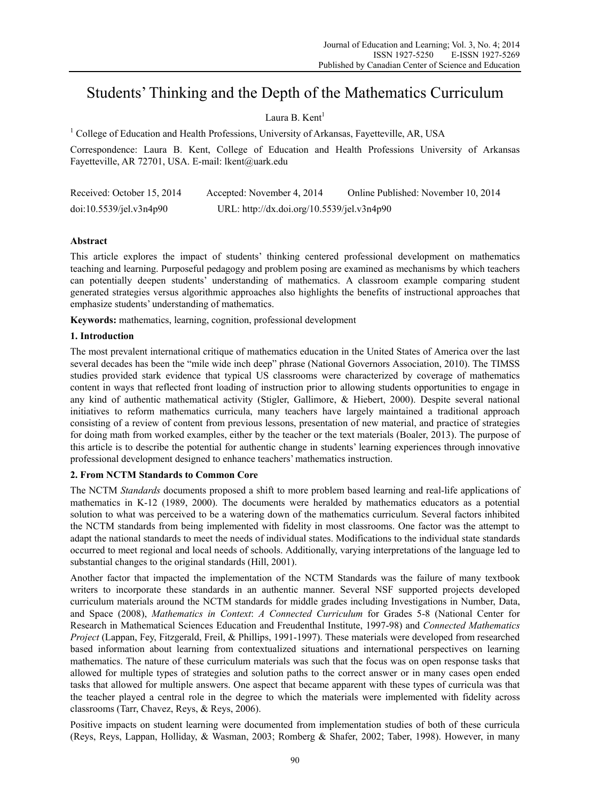# Students' Thinking and the Depth of the Mathematics Curriculum

# Laura B. Kent<sup>1</sup>

<sup>1</sup> College of Education and Health Professions, University of Arkansas, Fayetteville, AR, USA

Correspondence: Laura B. Kent, College of Education and Health Professions University of Arkansas Fayetteville, AR 72701, USA. E-mail: lkent@uark.edu

| Received: October 15, 2014 | Accepted: November 4, 2014                 | Online Published: November 10, 2014 |
|----------------------------|--------------------------------------------|-------------------------------------|
| doi:10.5539/jet.v3n4p90    | URL: http://dx.doi.org/10.5539/jel.v3n4p90 |                                     |

# **Abstract**

This article explores the impact of students' thinking centered professional development on mathematics teaching and learning. Purposeful pedagogy and problem posing are examined as mechanisms by which teachers can potentially deepen students' understanding of mathematics. A classroom example comparing student generated strategies versus algorithmic approaches also highlights the benefits of instructional approaches that emphasize students' understanding of mathematics.

**Keywords:** mathematics, learning, cognition, professional development

# **1. Introduction**

The most prevalent international critique of mathematics education in the United States of America over the last several decades has been the "mile wide inch deep" phrase (National Governors Association, 2010). The TIMSS studies provided stark evidence that typical US classrooms were characterized by coverage of mathematics content in ways that reflected front loading of instruction prior to allowing students opportunities to engage in any kind of authentic mathematical activity (Stigler, Gallimore, & Hiebert, 2000). Despite several national initiatives to reform mathematics curricula, many teachers have largely maintained a traditional approach consisting of a review of content from previous lessons, presentation of new material, and practice of strategies for doing math from worked examples, either by the teacher or the text materials (Boaler, 2013). The purpose of this article is to describe the potential for authentic change in students' learning experiences through innovative professional development designed to enhance teachers' mathematics instruction.

## **2. From NCTM Standards to Common Core**

The NCTM *Standards* documents proposed a shift to more problem based learning and real-life applications of mathematics in K-12 (1989, 2000). The documents were heralded by mathematics educators as a potential solution to what was perceived to be a watering down of the mathematics curriculum. Several factors inhibited the NCTM standards from being implemented with fidelity in most classrooms. One factor was the attempt to adapt the national standards to meet the needs of individual states. Modifications to the individual state standards occurred to meet regional and local needs of schools. Additionally, varying interpretations of the language led to substantial changes to the original standards (Hill, 2001).

Another factor that impacted the implementation of the NCTM Standards was the failure of many textbook writers to incorporate these standards in an authentic manner. Several NSF supported projects developed curriculum materials around the NCTM standards for middle grades including Investigations in Number, Data, and Space (2008), *Mathematics in Context*: *A Connected Curriculum* for Grades 5-8 (National Center for Research in Mathematical Sciences Education and Freudenthal Institute, 1997-98) and *Connected Mathematics Project* (Lappan, Fey, Fitzgerald, Freil, & Phillips, 1991-1997). These materials were developed from researched based information about learning from contextualized situations and international perspectives on learning mathematics. The nature of these curriculum materials was such that the focus was on open response tasks that allowed for multiple types of strategies and solution paths to the correct answer or in many cases open ended tasks that allowed for multiple answers. One aspect that became apparent with these types of curricula was that the teacher played a central role in the degree to which the materials were implemented with fidelity across classrooms (Tarr, Chavez, Reys, & Reys, 2006).

Positive impacts on student learning were documented from implementation studies of both of these curricula (Reys, Reys, Lappan, Holliday, & Wasman, 2003; Romberg & Shafer, 2002; Taber, 1998). However, in many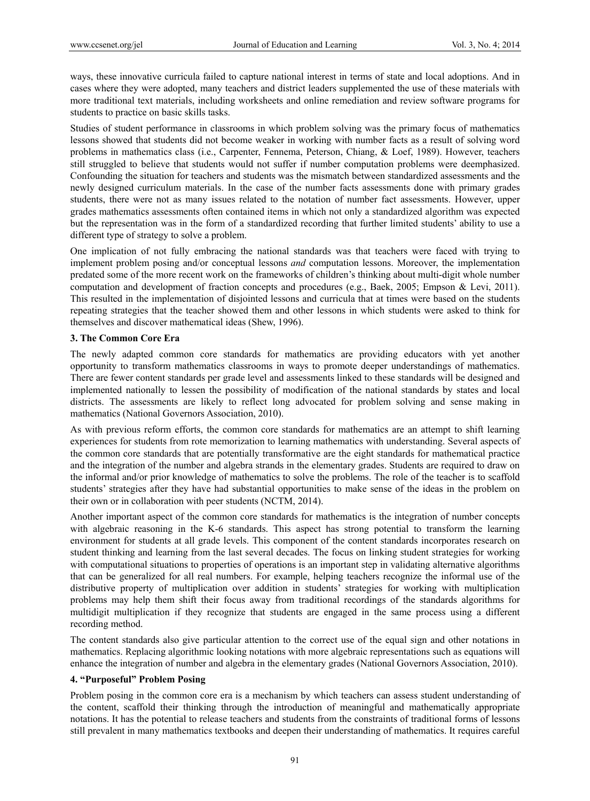ways, these innovative curricula failed to capture national interest in terms of state and local adoptions. And in cases where they were adopted, many teachers and district leaders supplemented the use of these materials with more traditional text materials, including worksheets and online remediation and review software programs for students to practice on basic skills tasks.

Studies of student performance in classrooms in which problem solving was the primary focus of mathematics lessons showed that students did not become weaker in working with number facts as a result of solving word problems in mathematics class (i.e., Carpenter, Fennema, Peterson, Chiang, & Loef, 1989). However, teachers still struggled to believe that students would not suffer if number computation problems were deemphasized. Confounding the situation for teachers and students was the mismatch between standardized assessments and the newly designed curriculum materials. In the case of the number facts assessments done with primary grades students, there were not as many issues related to the notation of number fact assessments. However, upper grades mathematics assessments often contained items in which not only a standardized algorithm was expected but the representation was in the form of a standardized recording that further limited students' ability to use a different type of strategy to solve a problem.

One implication of not fully embracing the national standards was that teachers were faced with trying to implement problem posing and/or conceptual lessons *and* computation lessons. Moreover, the implementation predated some of the more recent work on the frameworks of children's thinking about multi-digit whole number computation and development of fraction concepts and procedures (e.g., Baek, 2005; Empson & Levi, 2011). This resulted in the implementation of disjointed lessons and curricula that at times were based on the students repeating strategies that the teacher showed them and other lessons in which students were asked to think for themselves and discover mathematical ideas (Shew, 1996).

## **3. The Common Core Era**

The newly adapted common core standards for mathematics are providing educators with yet another opportunity to transform mathematics classrooms in ways to promote deeper understandings of mathematics. There are fewer content standards per grade level and assessments linked to these standards will be designed and implemented nationally to lessen the possibility of modification of the national standards by states and local districts. The assessments are likely to reflect long advocated for problem solving and sense making in mathematics (National Governors Association, 2010).

As with previous reform efforts, the common core standards for mathematics are an attempt to shift learning experiences for students from rote memorization to learning mathematics with understanding. Several aspects of the common core standards that are potentially transformative are the eight standards for mathematical practice and the integration of the number and algebra strands in the elementary grades. Students are required to draw on the informal and/or prior knowledge of mathematics to solve the problems. The role of the teacher is to scaffold students' strategies after they have had substantial opportunities to make sense of the ideas in the problem on their own or in collaboration with peer students (NCTM, 2014).

Another important aspect of the common core standards for mathematics is the integration of number concepts with algebraic reasoning in the K-6 standards. This aspect has strong potential to transform the learning environment for students at all grade levels. This component of the content standards incorporates research on student thinking and learning from the last several decades. The focus on linking student strategies for working with computational situations to properties of operations is an important step in validating alternative algorithms that can be generalized for all real numbers. For example, helping teachers recognize the informal use of the distributive property of multiplication over addition in students' strategies for working with multiplication problems may help them shift their focus away from traditional recordings of the standards algorithms for multidigit multiplication if they recognize that students are engaged in the same process using a different recording method.

The content standards also give particular attention to the correct use of the equal sign and other notations in mathematics. Replacing algorithmic looking notations with more algebraic representations such as equations will enhance the integration of number and algebra in the elementary grades (National Governors Association, 2010).

## **4. "Purposeful" Problem Posing**

Problem posing in the common core era is a mechanism by which teachers can assess student understanding of the content, scaffold their thinking through the introduction of meaningful and mathematically appropriate notations. It has the potential to release teachers and students from the constraints of traditional forms of lessons still prevalent in many mathematics textbooks and deepen their understanding of mathematics. It requires careful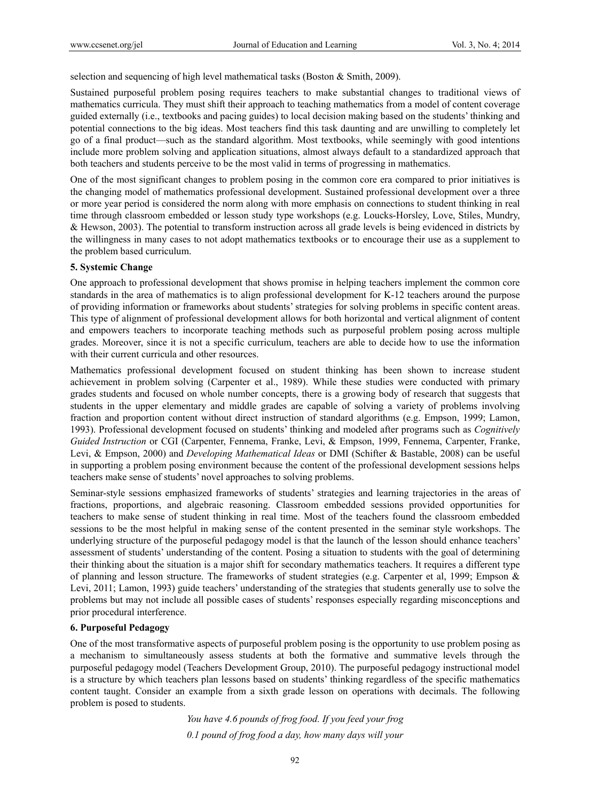selection and sequencing of high level mathematical tasks (Boston & Smith, 2009).

Sustained purposeful problem posing requires teachers to make substantial changes to traditional views of mathematics curricula. They must shift their approach to teaching mathematics from a model of content coverage guided externally (i.e., textbooks and pacing guides) to local decision making based on the students' thinking and potential connections to the big ideas. Most teachers find this task daunting and are unwilling to completely let go of a final product—such as the standard algorithm. Most textbooks, while seemingly with good intentions include more problem solving and application situations, almost always default to a standardized approach that both teachers and students perceive to be the most valid in terms of progressing in mathematics.

One of the most significant changes to problem posing in the common core era compared to prior initiatives is the changing model of mathematics professional development. Sustained professional development over a three or more year period is considered the norm along with more emphasis on connections to student thinking in real time through classroom embedded or lesson study type workshops (e.g. Loucks-Horsley, Love, Stiles, Mundry, & Hewson, 2003). The potential to transform instruction across all grade levels is being evidenced in districts by the willingness in many cases to not adopt mathematics textbooks or to encourage their use as a supplement to the problem based curriculum.

# **5. Systemic Change**

One approach to professional development that shows promise in helping teachers implement the common core standards in the area of mathematics is to align professional development for K-12 teachers around the purpose of providing information or frameworks about students' strategies for solving problems in specific content areas. This type of alignment of professional development allows for both horizontal and vertical alignment of content and empowers teachers to incorporate teaching methods such as purposeful problem posing across multiple grades. Moreover, since it is not a specific curriculum, teachers are able to decide how to use the information with their current curricula and other resources.

Mathematics professional development focused on student thinking has been shown to increase student achievement in problem solving (Carpenter et al., 1989). While these studies were conducted with primary grades students and focused on whole number concepts, there is a growing body of research that suggests that students in the upper elementary and middle grades are capable of solving a variety of problems involving fraction and proportion content without direct instruction of standard algorithms (e.g. Empson, 1999; Lamon, 1993). Professional development focused on students' thinking and modeled after programs such as *Cognitively Guided Instruction* or CGI (Carpenter, Fennema, Franke, Levi, & Empson, 1999, Fennema, Carpenter, Franke, Levi, & Empson, 2000) and *Developing Mathematical Ideas* or DMI (Schifter & Bastable, 2008) can be useful in supporting a problem posing environment because the content of the professional development sessions helps teachers make sense of students' novel approaches to solving problems.

Seminar-style sessions emphasized frameworks of students' strategies and learning trajectories in the areas of fractions, proportions, and algebraic reasoning. Classroom embedded sessions provided opportunities for teachers to make sense of student thinking in real time. Most of the teachers found the classroom embedded sessions to be the most helpful in making sense of the content presented in the seminar style workshops. The underlying structure of the purposeful pedagogy model is that the launch of the lesson should enhance teachers' assessment of students' understanding of the content. Posing a situation to students with the goal of determining their thinking about the situation is a major shift for secondary mathematics teachers. It requires a different type of planning and lesson structure. The frameworks of student strategies (e.g. Carpenter et al, 1999; Empson & Levi, 2011; Lamon, 1993) guide teachers' understanding of the strategies that students generally use to solve the problems but may not include all possible cases of students' responses especially regarding misconceptions and prior procedural interference.

## **6. Purposeful Pedagogy**

One of the most transformative aspects of purposeful problem posing is the opportunity to use problem posing as a mechanism to simultaneously assess students at both the formative and summative levels through the purposeful pedagogy model (Teachers Development Group, 2010). The purposeful pedagogy instructional model is a structure by which teachers plan lessons based on students' thinking regardless of the specific mathematics content taught. Consider an example from a sixth grade lesson on operations with decimals. The following problem is posed to students.

> *You have 4.6 pounds of frog food. If you feed your frog 0.1 pound of frog food a day, how many days will your*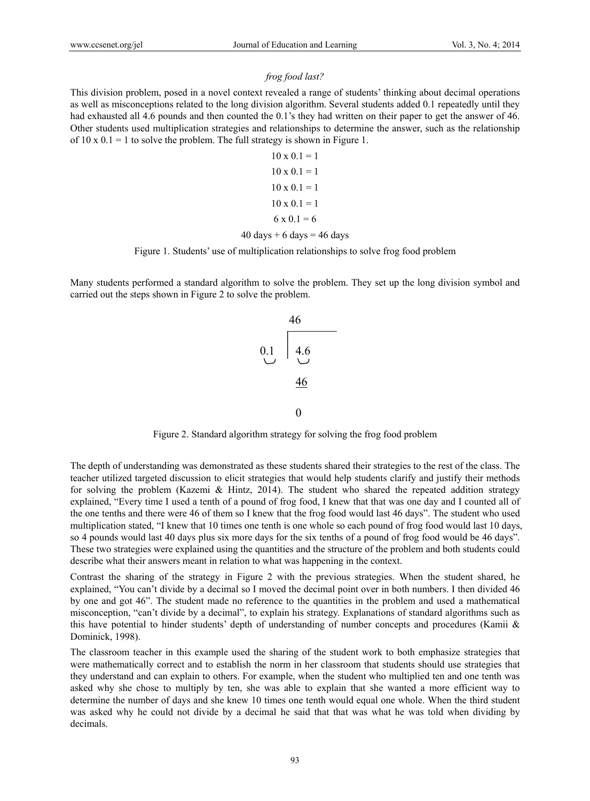# *frog food last?*

This division problem, posed in a novel context revealed a range of students' thinking about decimal operations as well as misconceptions related to the long division algorithm. Several students added 0.1 repeatedly until they had exhausted all 4.6 pounds and then counted the 0.1's they had written on their paper to get the answer of 46. Other students used multiplication strategies and relationships to determine the answer, such as the relationship of  $10 \times 0.1 = 1$  to solve the problem. The full strategy is shown in Figure 1.

$$
10 \times 0.1 = 1
$$
  

$$
10 \times 0.1 = 1
$$
  

$$
10 \times 0.1 = 1
$$
  

$$
10 \times 0.1 = 1
$$
  

$$
6 \times 0.1 = 6
$$
  

$$
40 \text{ days} + 6 \text{ days} = 46 \text{ days}
$$

# Figure 1. Students' use of multiplication relationships to solve frog food problem

Many students performed a standard algorithm to solve the problem. They set up the long division symbol and carried out the steps shown in Figure 2 to solve the problem.



Figure 2. Standard algorithm strategy for solving the frog food problem

The depth of understanding was demonstrated as these students shared their strategies to the rest of the class. The teacher utilized targeted discussion to elicit strategies that would help students clarify and justify their methods for solving the problem (Kazemi & Hintz, 2014). The student who shared the repeated addition strategy explained, "Every time I used a tenth of a pound of frog food, I knew that that was one day and I counted all of the one tenths and there were 46 of them so I knew that the frog food would last 46 days". The student who used multiplication stated, "I knew that 10 times one tenth is one whole so each pound of frog food would last 10 days, so 4 pounds would last 40 days plus six more days for the six tenths of a pound of frog food would be 46 days". These two strategies were explained using the quantities and the structure of the problem and both students could describe what their answers meant in relation to what was happening in the context.

Contrast the sharing of the strategy in Figure 2 with the previous strategies. When the student shared, he explained, "You can't divide by a decimal so I moved the decimal point over in both numbers. I then divided 46 by one and got 46". The student made no reference to the quantities in the problem and used a mathematical misconception, "can't divide by a decimal", to explain his strategy. Explanations of standard algorithms such as this have potential to hinder students' depth of understanding of number concepts and procedures (Kamii & Dominick, 1998).

The classroom teacher in this example used the sharing of the student work to both emphasize strategies that were mathematically correct and to establish the norm in her classroom that students should use strategies that they understand and can explain to others. For example, when the student who multiplied ten and one tenth was asked why she chose to multiply by ten, she was able to explain that she wanted a more efficient way to determine the number of days and she knew 10 times one tenth would equal one whole. When the third student was asked why he could not divide by a decimal he said that that was what he was told when dividing by decimals.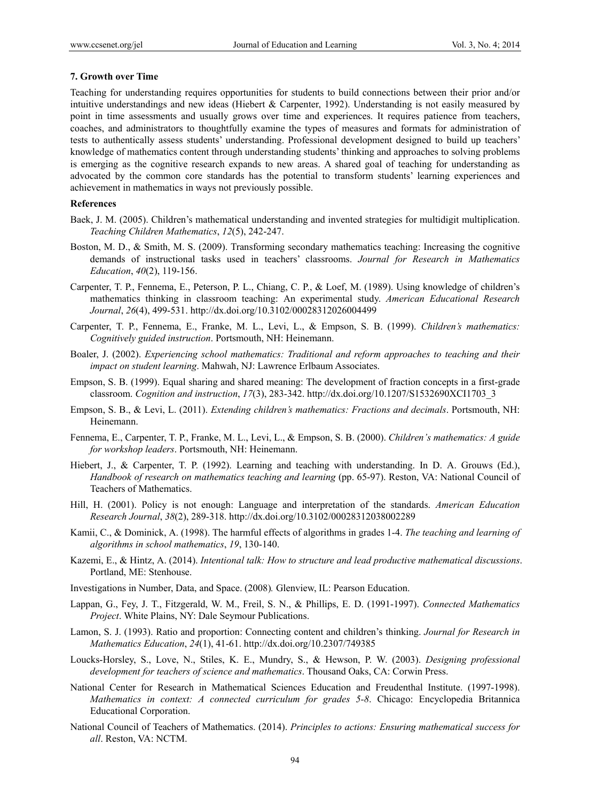#### **7. Growth over Time**

Teaching for understanding requires opportunities for students to build connections between their prior and/or intuitive understandings and new ideas (Hiebert & Carpenter, 1992). Understanding is not easily measured by point in time assessments and usually grows over time and experiences. It requires patience from teachers, coaches, and administrators to thoughtfully examine the types of measures and formats for administration of tests to authentically assess students' understanding. Professional development designed to build up teachers' knowledge of mathematics content through understanding students' thinking and approaches to solving problems is emerging as the cognitive research expands to new areas. A shared goal of teaching for understanding as advocated by the common core standards has the potential to transform students' learning experiences and achievement in mathematics in ways not previously possible.

## **References**

- Baek, J. M. (2005). Children's mathematical understanding and invented strategies for multidigit multiplication. *Teaching Children Mathematics*, *12*(5), 242-247.
- Boston, M. D., & Smith, M. S. (2009). Transforming secondary mathematics teaching: Increasing the cognitive demands of instructional tasks used in teachers' classrooms. *Journal for Research in Mathematics Education*, *40*(2), 119-156.
- Carpenter, T. P., Fennema, E., Peterson, P. L., Chiang, C. P., & Loef, M. (1989). Using knowledge of children's mathematics thinking in classroom teaching: An experimental study. *American Educational Research Journal*, *26*(4), 499-531. http://dx.doi.org/10.3102/00028312026004499
- Carpenter, T. P., Fennema, E., Franke, M. L., Levi, L., & Empson, S. B. (1999). *Children's mathematics: Cognitively guided instruction*. Portsmouth, NH: Heinemann.
- Boaler, J. (2002). *Experiencing school mathematics: Traditional and reform approaches to teaching and their impact on student learning*. Mahwah, NJ: Lawrence Erlbaum Associates.
- Empson, S. B. (1999). Equal sharing and shared meaning: The development of fraction concepts in a first-grade classroom. *Cognition and instruction*, *17*(3), 283-342. http://dx.doi.org/10.1207/S1532690XCI1703\_3
- Empson, S. B., & Levi, L. (2011). *Extending children's mathematics: Fractions and decimals*. Portsmouth, NH: Heinemann.
- Fennema, E., Carpenter, T. P., Franke, M. L., Levi, L., & Empson, S. B. (2000). *Children's mathematics: A guide for workshop leaders*. Portsmouth, NH: Heinemann.
- Hiebert, J., & Carpenter, T. P. (1992). Learning and teaching with understanding. In D. A. Grouws (Ed.), *Handbook of research on mathematics teaching and learning* (pp. 65-97). Reston, VA: National Council of Teachers of Mathematics.
- Hill, H. (2001). Policy is not enough: Language and interpretation of the standards. *American Education Research Journal*, *38*(2), 289-318. http://dx.doi.org/10.3102/00028312038002289
- Kamii, C., & Dominick, A. (1998). The harmful effects of algorithms in grades 1-4. *The teaching and learning of algorithms in school mathematics*, *19*, 130-140.
- Kazemi, E., & Hintz, A. (2014). *Intentional talk: How to structure and lead productive mathematical discussions*. Portland, ME: Stenhouse.
- Investigations in Number, Data, and Space. (2008)*.* Glenview, IL: Pearson Education.
- Lappan, G., Fey, J. T., Fitzgerald, W. M., Freil, S. N., & Phillips, E. D. (1991-1997). *Connected Mathematics Project*. White Plains, NY: Dale Seymour Publications.
- Lamon, S. J. (1993). Ratio and proportion: Connecting content and children's thinking. *Journal for Research in Mathematics Education*, *24*(1), 41-61. http://dx.doi.org/10.2307/749385
- Loucks-Horsley, S., Love, N., Stiles, K. E., Mundry, S., & Hewson, P. W. (2003). *Designing professional development for teachers of science and mathematics*. Thousand Oaks, CA: Corwin Press.
- National Center for Research in Mathematical Sciences Education and Freudenthal Institute. (1997-1998). *Mathematics in context: A connected curriculum for grades 5-8*. Chicago: Encyclopedia Britannica Educational Corporation.
- National Council of Teachers of Mathematics. (2014). *Principles to actions: Ensuring mathematical success for all*. Reston, VA: NCTM.